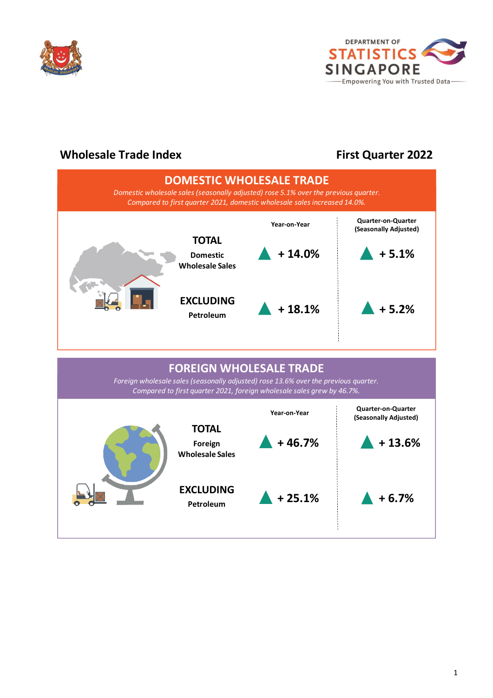



## **Wholesale Trade Index**

# **First Quarter 2022**

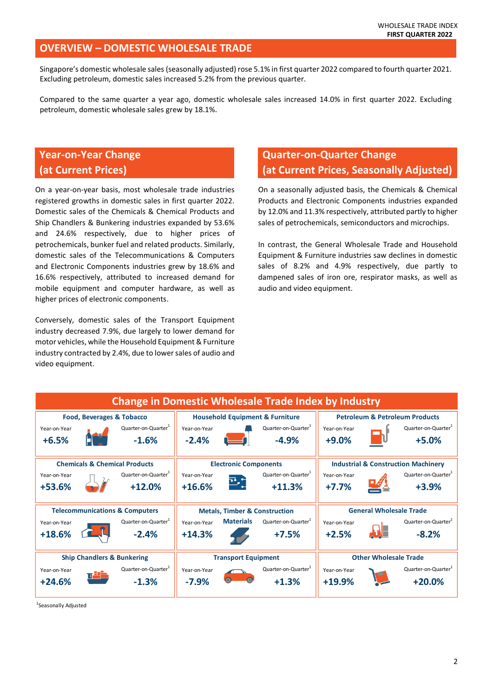#### **OVERVIEW – DOMESTIC WHOLESALE TRADE**

Singapore's domestic wholesale sales (seasonally adjusted) rose 5.1% in first quarter 2022 compared to fourth quarter 2021. Excluding petroleum, domestic sales increased 5.2% from the previous quarter.

Compared to the same quarter a year ago, domestic wholesale sales increased 14.0% in first quarter 2022. Excluding petroleum, domestic wholesale sales grew by 18.1%.

# **Year-on-Year Change (at Current Prices)**

On a year-on-year basis, most wholesale trade industries registered growths in domestic sales in first quarter 2022. Domestic sales of the Chemicals & Chemical Products and Ship Chandlers & Bunkering industries expanded by 53.6% and 24.6% respectively, due to higher prices of petrochemicals, bunker fuel and related products. Similarly, domestic sales of the Telecommunications & Computers and Electronic Components industries grew by 18.6% and 16.6% respectively, attributed to increased demand for mobile equipment and computer hardware, as well as higher prices of electronic components.

Conversely, domestic sales of the Transport Equipment industry decreased 7.9%, due largely to lower demand for motor vehicles, while the Household Equipment & Furniture industry contracted by 2.4%, due to lower sales of audio and video equipment.

## **Quarter-on-Quarter Change (at Current Prices, Seasonally Adjusted)**

On a seasonally adjusted basis, the Chemicals & Chemical Products and Electronic Components industries expanded by 12.0% and 11.3% respectively, attributed partly to higher sales of petrochemicals, semiconductors and microchips.

In contrast, the General Wholesale Trade and Household Equipment & Furniture industries saw declines in domestic sales of 8.2% and 4.9% respectively, due partly to dampened sales of iron ore, respirator masks, as well as audio and video equipment.



<sup>1</sup>Seasonally Adjusted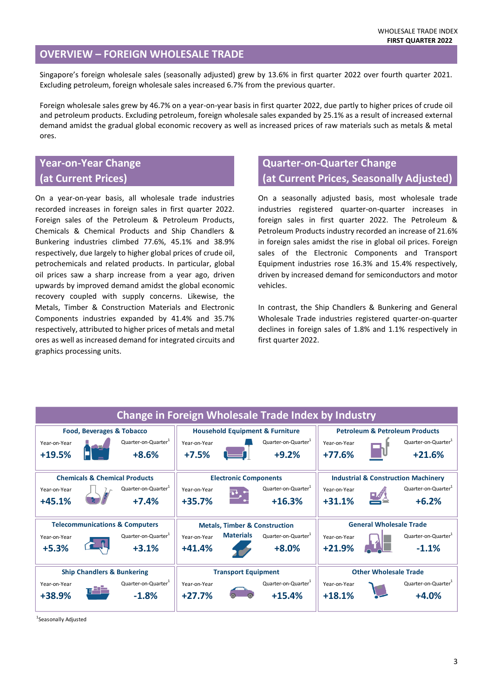#### **OVERVIEW – FOREIGN WHOLESALE TRADE**

Singapore's foreign wholesale sales (seasonally adjusted) grew by 13.6% in first quarter 2022 over fourth quarter 2021. Excluding petroleum, foreign wholesale sales increased 6.7% from the previous quarter.

Foreign wholesale sales grew by 46.7% on a year-on-year basis in first quarter 2022, due partly to higher prices of crude oil and petroleum products. Excluding petroleum, foreign wholesale sales expanded by 25.1% as a result of increased external demand amidst the gradual global economic recovery as well as increased prices of raw materials such as metals & metal ores.

## **Year-on-Year Change (at Current Prices)**

On a year-on-year basis, all wholesale trade industries recorded increases in foreign sales in first quarter 2022. Foreign sales of the Petroleum & Petroleum Products, Chemicals & Chemical Products and Ship Chandlers & Bunkering industries climbed 77.6%, 45.1% and 38.9% respectively, due largely to higher global prices of crude oil, petrochemicals and related products. In particular, global oil prices saw a sharp increase from a year ago, driven upwards by improved demand amidst the global economic recovery coupled with supply concerns. Likewise, the Metals, Timber & Construction Materials and Electronic Components industries expanded by 41.4% and 35.7% respectively, attributed to higher prices of metals and metal ores as well as increased demand for integrated circuits and graphics processing units.

## **Quarter-on-Quarter Change (at Current Prices, Seasonally Adjusted)**

On a seasonally adjusted basis, most wholesale trade industries registered quarter-on-quarter increases in foreign sales in first quarter 2022. The Petroleum & Petroleum Products industry recorded an increase of 21.6% in foreign sales amidst the rise in global oil prices. Foreign sales of the Electronic Components and Transport Equipment industries rose 16.3% and 15.4% respectively, driven by increased demand for semiconductors and motor vehicles.

In contrast, the Ship Chandlers & Bunkering and General Wholesale Trade industries registered quarter-on-quarter declines in foreign sales of 1.8% and 1.1% respectively in first quarter 2022.

| <b>Change in Foreign Wholesale Trade Index by Industry</b> |  |                                 |                                            |                  |                                 |                                                |  |                                 |  |
|------------------------------------------------------------|--|---------------------------------|--------------------------------------------|------------------|---------------------------------|------------------------------------------------|--|---------------------------------|--|
| Food, Beverages & Tobacco                                  |  |                                 | <b>Household Equipment &amp; Furniture</b> |                  |                                 | <b>Petroleum &amp; Petroleum Products</b>      |  |                                 |  |
| Year-on-Year                                               |  | Quarter-on-Quarter <sup>1</sup> | Year-on-Year                               |                  | Quarter-on-Quarter <sup>1</sup> | Year-on-Year                                   |  | Quarter-on-Quarter <sup>1</sup> |  |
| $+19.5%$                                                   |  | $+8.6%$                         | $+7.5%$                                    |                  | $+9.2%$                         | $+77.6%$                                       |  | $+21.6%$                        |  |
|                                                            |  |                                 |                                            |                  |                                 |                                                |  |                                 |  |
| <b>Chemicals &amp; Chemical Products</b>                   |  |                                 | <b>Electronic Components</b>               |                  |                                 | <b>Industrial &amp; Construction Machinery</b> |  |                                 |  |
| Year-on-Year                                               |  | Quarter-on-Quarter <sup>1</sup> | Year-on-Year                               |                  | Quarter-on-Quarter <sup>1</sup> | Year-on-Year                                   |  | Quarter-on-Quarter <sup>1</sup> |  |
| $+45.1%$                                                   |  | $+7.4%$                         | $+35.7%$                                   |                  | $+16.3%$                        | $+31.1%$                                       |  | $+6.2%$                         |  |
|                                                            |  |                                 |                                            |                  |                                 |                                                |  |                                 |  |
| <b>Telecommunications &amp; Computers</b>                  |  |                                 | <b>Metals, Timber &amp; Construction</b>   |                  |                                 | <b>General Wholesale Trade</b>                 |  |                                 |  |
| Year-on-Year                                               |  | Quarter-on-Quarter <sup>1</sup> | Year-on-Year                               | <b>Materials</b> | Quarter-on-Quarter <sup>+</sup> | Year-on-Year                                   |  | Quarter-on-Quarter <sup>1</sup> |  |
| $+5.3%$                                                    |  | $+3.1%$                         | $+41.4%$                                   |                  | $+8.0%$                         | $+21.9%$                                       |  | $-1.1%$                         |  |
|                                                            |  |                                 |                                            |                  |                                 |                                                |  |                                 |  |
| <b>Ship Chandlers &amp; Bunkering</b>                      |  |                                 | <b>Transport Equipment</b>                 |                  |                                 | <b>Other Wholesale Trade</b>                   |  |                                 |  |
| Year-on-Year                                               |  | Quarter-on-Quarter <sup>1</sup> | Year-on-Year                               |                  | Quarter-on-Quarter <sup>+</sup> | Year-on-Year                                   |  | Quarter-on-Quarter <sup>1</sup> |  |
| +38.9%                                                     |  | $-1.8%$                         | $+27.7%$                                   |                  | $+15.4%$                        | $+18.1%$                                       |  | $+4.0%$                         |  |

<sup>1</sup>Seasonally Adjusted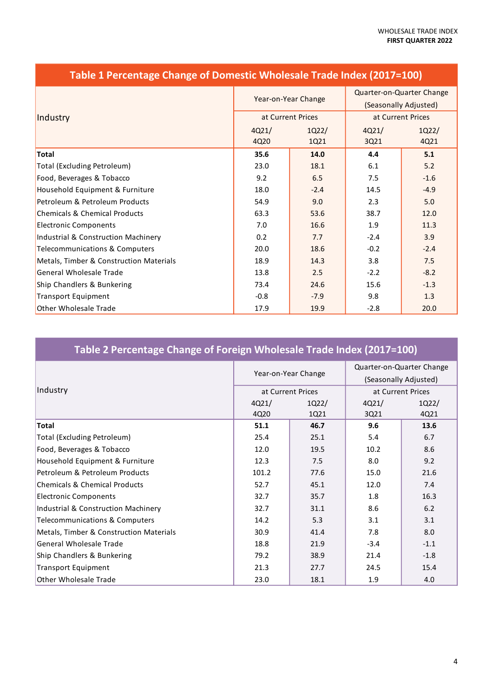|                                          |        | Year-on-Year Change | Quarter-on-Quarter Change<br>(Seasonally Adjusted) |        |
|------------------------------------------|--------|---------------------|----------------------------------------------------|--------|
| Industry                                 |        | at Current Prices   | at Current Prices                                  |        |
|                                          | 4021/  | 1022/               | 4Q21/                                              | 1Q22/  |
|                                          | 4Q20   | 1Q21                | 3Q21                                               | 4Q21   |
| <b>Total</b>                             | 35.6   | 14.0                | 4.4                                                | 5.1    |
| <b>Total (Excluding Petroleum)</b>       | 23.0   | 18.1                | 6.1                                                | 5.2    |
| Food, Beverages & Tobacco                | 9.2    | 6.5                 | 7.5                                                | $-1.6$ |
| Household Equipment & Furniture          | 18.0   | $-2.4$              | 14.5                                               | $-4.9$ |
| Petroleum & Petroleum Products           | 54.9   | 9.0                 | 2.3                                                | 5.0    |
| <b>Chemicals &amp; Chemical Products</b> | 63.3   | 53.6                | 38.7                                               | 12.0   |
| <b>Electronic Components</b>             | 7.0    | 16.6                | 1.9                                                | 11.3   |
| Industrial & Construction Machinery      | 0.2    | 7.7                 | $-2.4$                                             | 3.9    |
| Telecommunications & Computers           | 20.0   | 18.6                | $-0.2$                                             | $-2.4$ |
| Metals, Timber & Construction Materials  | 18.9   | 14.3                | 3.8                                                | 7.5    |
| <b>General Wholesale Trade</b>           | 13.8   | 2.5                 | $-2.2$                                             | $-8.2$ |
| Ship Chandlers & Bunkering               | 73.4   | 24.6                | 15.6                                               | $-1.3$ |
| <b>Transport Equipment</b>               | $-0.8$ | $-7.9$              | 9.8                                                | 1.3    |
| <b>Other Wholesale Trade</b>             | 17.9   | 19.9                | $-2.8$                                             | 20.0   |

## **Table 1 Percentage Change of Domestic Wholesale Trade Index (2017=100)**

# **Table 2 Percentage Change of Foreign Wholesale Trade Index (2017=100)**

|                                          |       |                     | Quarter-on-Quarter Change |        |
|------------------------------------------|-------|---------------------|---------------------------|--------|
|                                          |       | Year-on-Year Change | (Seasonally Adjusted)     |        |
| Industry                                 |       | at Current Prices   | at Current Prices         |        |
|                                          | 4Q21/ | 1Q22/               | 4Q21/                     | 1Q22/  |
|                                          | 4Q20  | 1Q21                | 3Q21                      | 4Q21   |
| <b>Total</b>                             | 51.1  | 46.7                | 9.6                       | 13.6   |
| <b>Total (Excluding Petroleum)</b>       | 25.4  | 25.1                | 5.4                       | 6.7    |
| Food, Beverages & Tobacco                | 12.0  | 19.5                | 10.2                      | 8.6    |
| Household Equipment & Furniture          | 12.3  | 7.5                 | 8.0                       | 9.2    |
| Petroleum & Petroleum Products           | 101.2 | 77.6                | 15.0                      | 21.6   |
| <b>Chemicals &amp; Chemical Products</b> | 52.7  | 45.1                | 12.0                      | 7.4    |
| <b>Electronic Components</b>             | 32.7  | 35.7                | 1.8                       | 16.3   |
| Industrial & Construction Machinery      | 32.7  | 31.1                | 8.6                       | 6.2    |
| Telecommunications & Computers           | 14.2  | 5.3                 | 3.1                       | 3.1    |
| Metals, Timber & Construction Materials  | 30.9  | 41.4                | 7.8                       | 8.0    |
| <b>General Wholesale Trade</b>           | 18.8  | 21.9                | $-3.4$                    | $-1.1$ |
| Ship Chandlers & Bunkering               | 79.2  | 38.9                | 21.4                      | $-1.8$ |
| <b>Transport Equipment</b>               | 21.3  | 27.7                | 24.5                      | 15.4   |
| <b>Other Wholesale Trade</b>             | 23.0  | 18.1                | 1.9                       | 4.0    |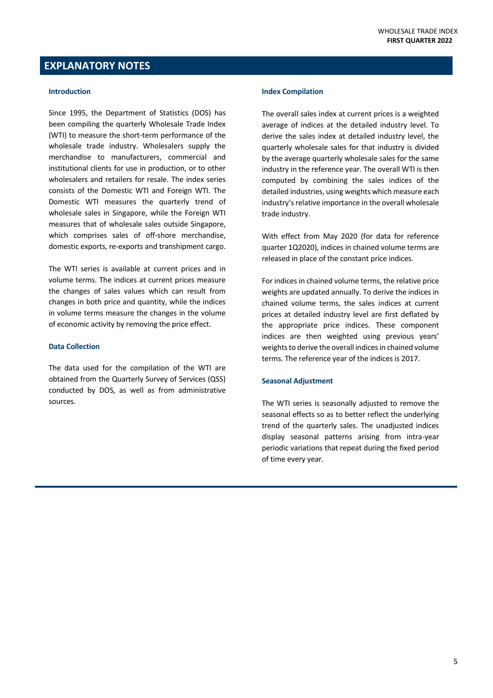#### **EXPLANATORY NOTES**

#### **Introduction**

Since 1995, the Department of Statistics (DOS) has been compiling the quarterly Wholesale Trade Index (WTI) to measure the short-term performance of the wholesale trade industry. Wholesalers supply the merchandise to manufacturers, commercial and institutional clients for use in production, or to other wholesalers and retailers for resale. The index series consists of the Domestic WTI and Foreign WTI. The Domestic WTI measures the quarterly trend of wholesale sales in Singapore, while the Foreign WTI measures that of wholesale sales outside Singapore, which comprises sales of off-shore merchandise, domestic exports, re-exports and transhipment cargo.

The WTI series is available at current prices and in volume terms. The indices at current prices measure the changes of sales values which can result from changes in both price and quantity, while the indices in volume terms measure the changes in the volume of economic activity by removing the price effect.

#### **Data Collection**

The data used for the compilation of the WTI are obtained from the Quarterly Survey of Services (QSS) conducted by DOS, as well as from administrative sources.

#### **Index Compilation**

The overall sales index at current prices is a weighted average of indices at the detailed industry level. To derive the sales index at detailed industry level, the quarterly wholesale sales for that industry is divided by the average quarterly wholesale sales for the same industry in the reference year. The overall WTI is then computed by combining the sales indices of the detailed industries, using weights which measure each industry's relative importance in the overall wholesale trade industry.

With effect from May 2020 (for data for reference quarter 1Q2020), indices in chained volume terms are released in place of the constant price indices.

For indices in chained volume terms, the relative price weights are updated annually. To derive the indices in chained volume terms, the sales indices at current prices at detailed industry level are first deflated by the appropriate price indices. These component indices are then weighted using previous years' weights to derive the overall indices in chained volume terms. The reference year of the indices is 2017.

#### **Seasonal Adjustment**

The WTI series is seasonally adjusted to remove the seasonal effects so as to better reflect the underlying trend of the quarterly sales. The unadjusted indices display seasonal patterns arising from intra-year periodic variations that repeat during the fixed period of time every year.